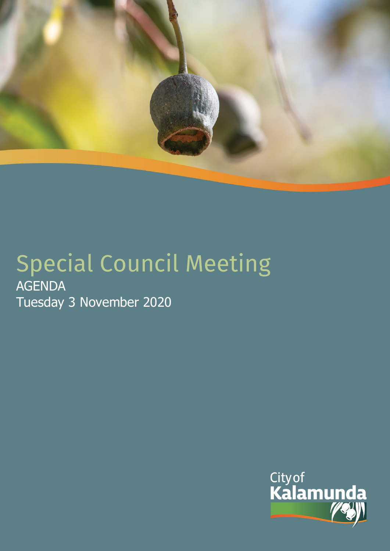

# Special Council Meeting AGENDA Tuesday 3 November 2020

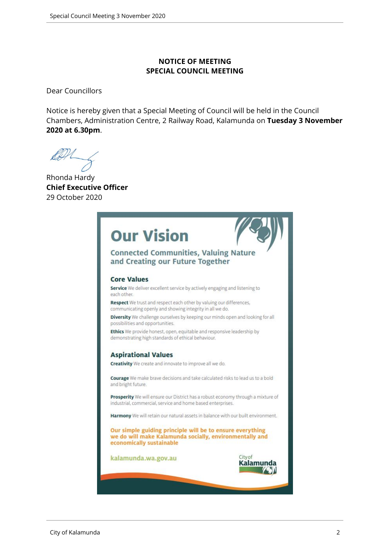#### **NOTICE OF MEETING SPECIAL COUNCIL MEETING**

Dear Councillors

Notice is hereby given that a Special Meeting of Council will be held in the Council Chambers, Administration Centre, 2 Railway Road, Kalamunda on **Tuesday 3 November 2020 at 6.30pm**.

Ab

Rhonda Hardy **Chief Executive Officer** 29 October 2020

| <b>Our Vision</b>                                                                                                                                |  |  |  |
|--------------------------------------------------------------------------------------------------------------------------------------------------|--|--|--|
| <b>Connected Communities, Valuing Nature</b><br>and Creating our Future Together                                                                 |  |  |  |
| <b>Core Values</b>                                                                                                                               |  |  |  |
| Service We deliver excellent service by actively engaging and listening to<br>each other.                                                        |  |  |  |
| Respect We trust and respect each other by valuing our differences,<br>communicating openly and showing integrity in all we do.                  |  |  |  |
| Diversity We challenge ourselves by keeping our minds open and looking for all<br>possibilities and opportunities.                               |  |  |  |
| Ethics We provide honest, open, equitable and responsive leadership by<br>demonstrating high standards of ethical behaviour.                     |  |  |  |
| <b>Aspirational Values</b>                                                                                                                       |  |  |  |
| Creativity We create and innovate to improve all we do.                                                                                          |  |  |  |
| Courage We make brave decisions and take calculated risks to lead us to a bold<br>and bright future.                                             |  |  |  |
| Prosperity We will ensure our District has a robust economy through a mixture of<br>industrial, commercial, service and home based enterprises.  |  |  |  |
| Harmony We will retain our natural assets in balance with our built environment.                                                                 |  |  |  |
| Our simple guiding principle will be to ensure everything<br>we do will make Kalamunda socially, environmentally and<br>economically sustainable |  |  |  |
| City of<br>kalamunda.wa.gov.au<br>Kalamu                                                                                                         |  |  |  |
|                                                                                                                                                  |  |  |  |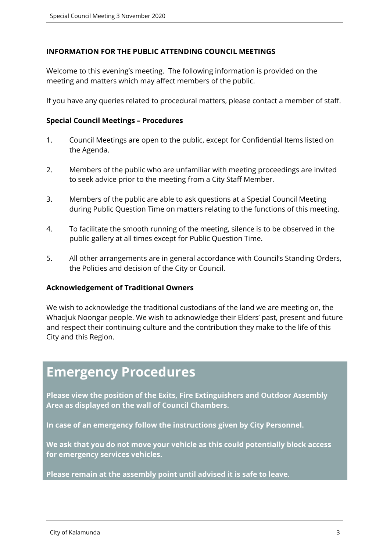#### **INFORMATION FOR THE PUBLIC ATTENDING COUNCIL MEETINGS**

Welcome to this evening's meeting. The following information is provided on the meeting and matters which may affect members of the public.

If you have any queries related to procedural matters, please contact a member of staff.

#### **Special Council Meetings – Procedures**

- 1. Council Meetings are open to the public, except for Confidential Items listed on the Agenda.
- 2. Members of the public who are unfamiliar with meeting proceedings are invited to seek advice prior to the meeting from a City Staff Member.
- 3. Members of the public are able to ask questions at a Special Council Meeting during Public Question Time on matters relating to the functions of this meeting.
- 4. To facilitate the smooth running of the meeting, silence is to be observed in the public gallery at all times except for Public Question Time.
- 5. All other arrangements are in general accordance with Council's Standing Orders, the Policies and decision of the City or Council.

#### **Acknowledgement of Traditional Owners**

We wish to acknowledge the traditional custodians of the land we are meeting on, the Whadjuk Noongar people. We wish to acknowledge their Elders' past, present and future and respect their continuing culture and the contribution they make to the life of this City and this Region.

# **Emergency Procedures**

**Please view the position of the Exits, Fire Extinguishers and Outdoor Assembly Area as displayed on the wall of Council Chambers.**

**In case of an emergency follow the instructions given by City Personnel.** 

**We ask that you do not move your vehicle as this could potentially block access for emergency services vehicles.** 

**Please remain at the assembly point until advised it is safe to leave.**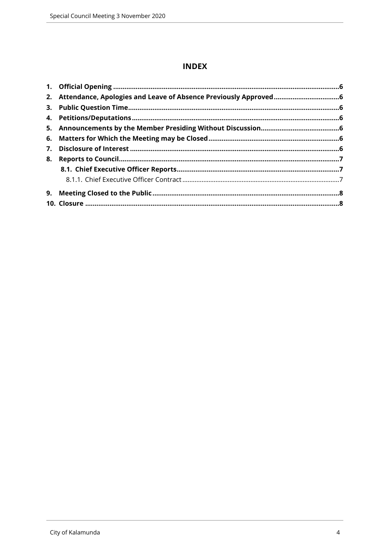# **INDEX**

|    | 2. Attendance, Apologies and Leave of Absence Previously Approved6 |  |
|----|--------------------------------------------------------------------|--|
|    |                                                                    |  |
|    |                                                                    |  |
|    |                                                                    |  |
|    |                                                                    |  |
| 7. |                                                                    |  |
| 8. |                                                                    |  |
|    |                                                                    |  |
|    |                                                                    |  |
|    |                                                                    |  |
|    |                                                                    |  |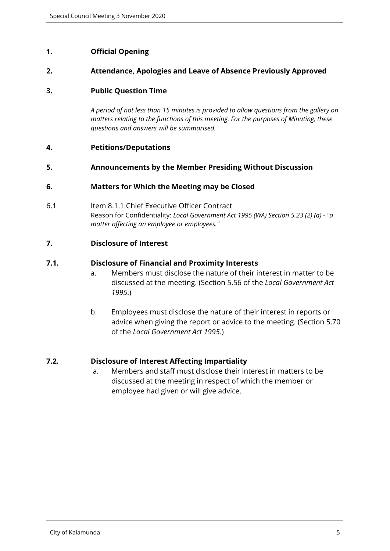#### <span id="page-4-0"></span>**1. Official Opening**

#### <span id="page-4-1"></span>**2. Attendance, Apologies and Leave of Absence Previously Approved**

#### <span id="page-4-2"></span>**3. Public Question Time**

*A period of not less than 15 minutes is provided to allow questions from the gallery on matters relating to the functions of this meeting. For the purposes of Minuting, these questions and answers will be summarised.*

#### <span id="page-4-3"></span>**4. Petitions/Deputations**

#### <span id="page-4-4"></span>**5. Announcements by the Member Presiding Without Discussion**

#### <span id="page-4-5"></span>**6. Matters for Which the Meeting may be Closed**

6.1 Item 8.1.1.Chief Executive Officer Contract Reason for Confidentiality: *Local Government Act 1995 (WA) Section 5.23 (2) (a) - "a matter affecting an employee or employees."*

#### <span id="page-4-6"></span>**7. Disclosure of Interest**

#### **7.1. Disclosure of Financial and Proximity Interests**

- a. Members must disclose the nature of their interest in matter to be discussed at the meeting. (Section 5.56 of the *Local Government Act 1995*.)
- b. Employees must disclose the nature of their interest in reports or advice when giving the report or advice to the meeting. (Section 5.70 of the *Local Government Act 1995*.)

#### **7.2. Disclosure of Interest Affecting Impartiality**

a. Members and staff must disclose their interest in matters to be discussed at the meeting in respect of which the member or employee had given or will give advice.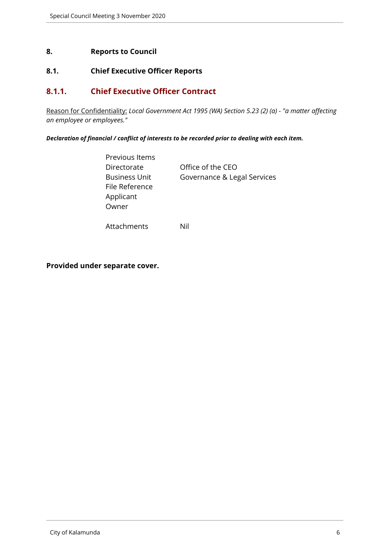#### <span id="page-5-0"></span>**8. Reports to Council**

# <span id="page-5-1"></span>**8.1. Chief Executive Officer Reports**

### <span id="page-5-2"></span>**8.1.1. Chief Executive Officer Contract**

Reason for Confidentiality: *Local Government Act 1995 (WA) Section 5.23 (2) (a) - "a matter affecting an employee or employees."*

*Declaration of financial / conflict of interests to be recorded prior to dealing with each item.*

| Previous Items       |                             |
|----------------------|-----------------------------|
| Directorate          | Office of the CEO           |
| <b>Business Unit</b> | Governance & Legal Services |
| File Reference       |                             |
| Applicant            |                             |
| Owner                |                             |
|                      |                             |

Attachments Nil

**Provided under separate cover.**